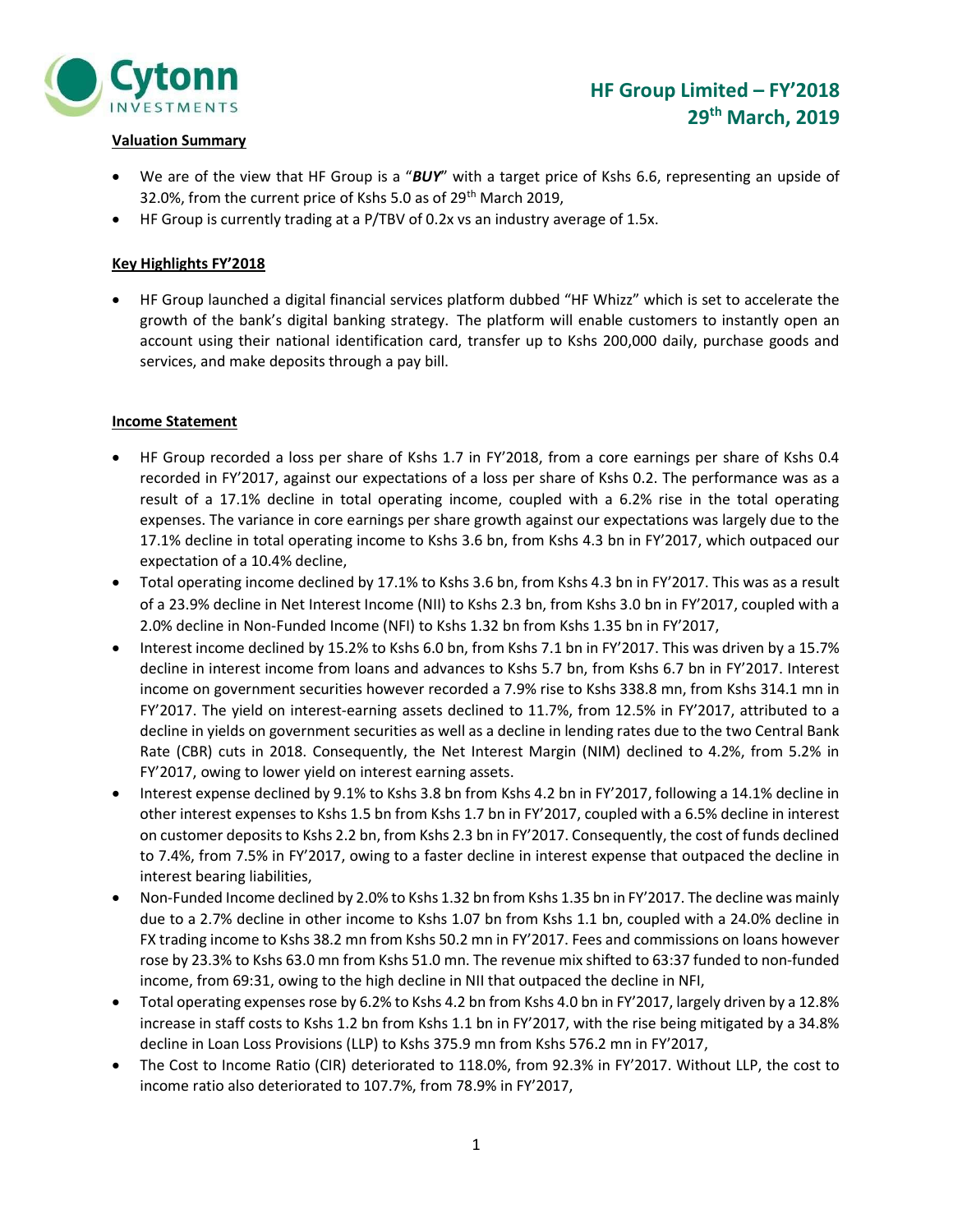

## Valuation Summary

- We are of the view that HF Group is a "BUY" with a target price of Kshs 6.6, representing an upside of 32.0%, from the current price of Kshs 5.0 as of 29<sup>th</sup> March 2019,
- HF Group is currently trading at a P/TBV of 0.2x vs an industry average of 1.5x.

## Key Highlights FY'2018

 HF Group launched a digital financial services platform dubbed "HF Whizz" which is set to accelerate the growth of the bank's digital banking strategy. The platform will enable customers to instantly open an account using their national identification card, transfer up to Kshs 200,000 daily, purchase goods and services, and make deposits through a pay bill.

## Income Statement

- HF Group recorded a loss per share of Kshs 1.7 in FY'2018, from a core earnings per share of Kshs 0.4 recorded in FY'2017, against our expectations of a loss per share of Kshs 0.2. The performance was as a result of a 17.1% decline in total operating income, coupled with a 6.2% rise in the total operating expenses. The variance in core earnings per share growth against our expectations was largely due to the 17.1% decline in total operating income to Kshs 3.6 bn, from Kshs 4.3 bn in FY'2017, which outpaced our expectation of a 10.4% decline,
- Total operating income declined by 17.1% to Kshs 3.6 bn, from Kshs 4.3 bn in FY'2017. This was as a result of a 23.9% decline in Net Interest Income (NII) to Kshs 2.3 bn, from Kshs 3.0 bn in FY'2017, coupled with a 2.0% decline in Non-Funded Income (NFI) to Kshs 1.32 bn from Kshs 1.35 bn in FY'2017,
- Interest income declined by 15.2% to Kshs 6.0 bn, from Kshs 7.1 bn in FY'2017. This was driven by a 15.7% decline in interest income from loans and advances to Kshs 5.7 bn, from Kshs 6.7 bn in FY'2017. Interest income on government securities however recorded a 7.9% rise to Kshs 338.8 mn, from Kshs 314.1 mn in FY'2017. The yield on interest-earning assets declined to 11.7%, from 12.5% in FY'2017, attributed to a decline in yields on government securities as well as a decline in lending rates due to the two Central Bank Rate (CBR) cuts in 2018. Consequently, the Net Interest Margin (NIM) declined to 4.2%, from 5.2% in FY'2017, owing to lower yield on interest earning assets.
- Interest expense declined by 9.1% to Kshs 3.8 bn from Kshs 4.2 bn in FY'2017, following a 14.1% decline in other interest expenses to Kshs 1.5 bn from Kshs 1.7 bn in FY'2017, coupled with a 6.5% decline in interest on customer deposits to Kshs 2.2 bn, from Kshs 2.3 bn in FY'2017. Consequently, the cost of funds declined to 7.4%, from 7.5% in FY'2017, owing to a faster decline in interest expense that outpaced the decline in interest bearing liabilities,
- Non-Funded Income declined by 2.0% to Kshs 1.32 bn from Kshs 1.35 bn in FY'2017. The decline was mainly due to a 2.7% decline in other income to Kshs 1.07 bn from Kshs 1.1 bn, coupled with a 24.0% decline in FX trading income to Kshs 38.2 mn from Kshs 50.2 mn in FY'2017. Fees and commissions on loans however rose by 23.3% to Kshs 63.0 mn from Kshs 51.0 mn. The revenue mix shifted to 63:37 funded to non-funded income, from 69:31, owing to the high decline in NII that outpaced the decline in NFI,
- Total operating expenses rose by 6.2% to Kshs 4.2 bn from Kshs 4.0 bn in FY'2017, largely driven by a 12.8% increase in staff costs to Kshs 1.2 bn from Kshs 1.1 bn in FY'2017, with the rise being mitigated by a 34.8% decline in Loan Loss Provisions (LLP) to Kshs 375.9 mn from Kshs 576.2 mn in FY'2017,
- The Cost to Income Ratio (CIR) deteriorated to 118.0%, from 92.3% in FY'2017. Without LLP, the cost to income ratio also deteriorated to 107.7%, from 78.9% in FY'2017,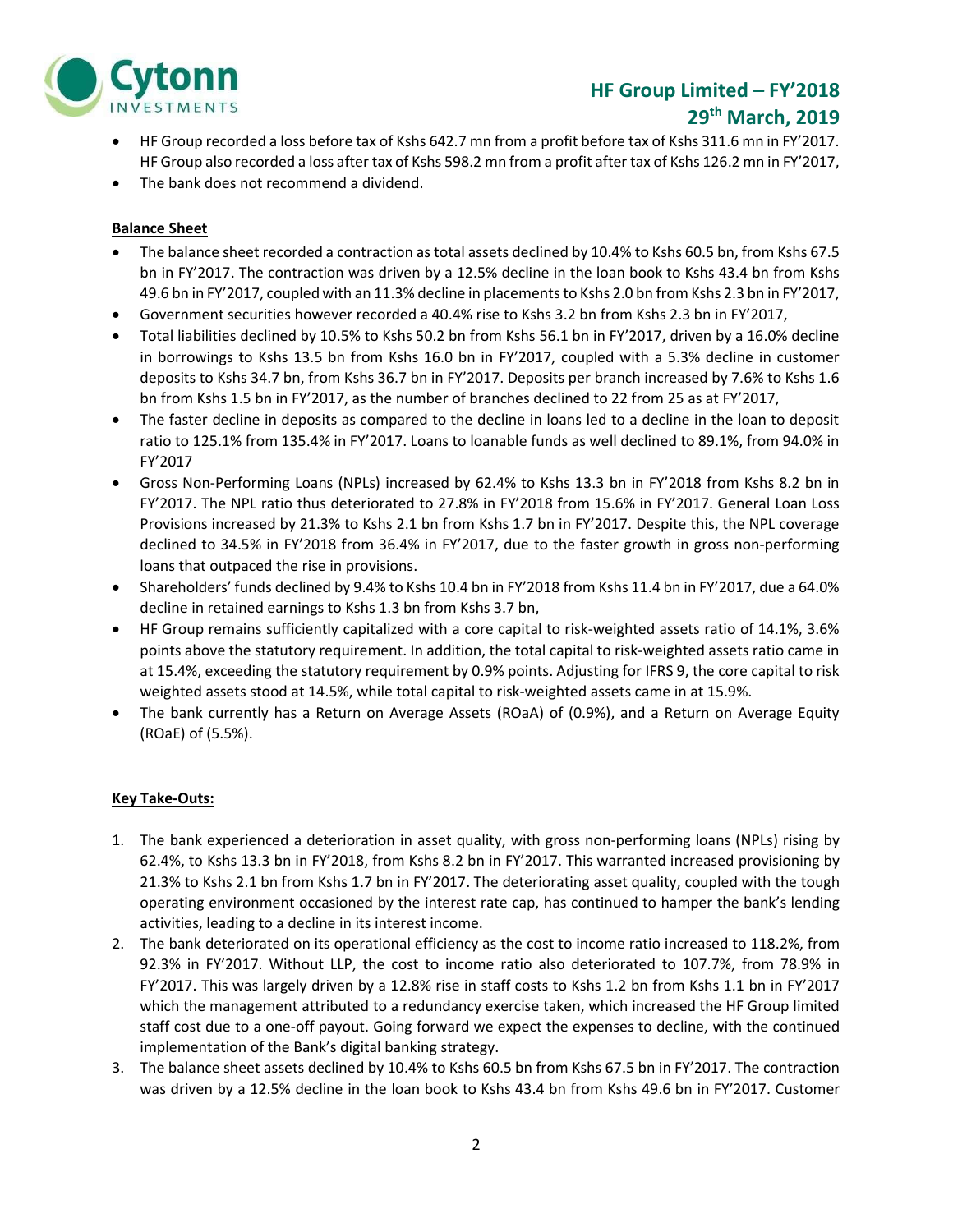

# HF Group Limited – FY'2018 29th March, 2019

- HF Group recorded a loss before tax of Kshs 642.7 mn from a profit before tax of Kshs 311.6 mn in FY'2017. HF Group also recorded a loss after tax of Kshs 598.2 mn from a profit after tax of Kshs 126.2 mn in FY'2017,
- The bank does not recommend a dividend.

# Balance Sheet

- The balance sheet recorded a contraction as total assets declined by 10.4% to Kshs 60.5 bn, from Kshs 67.5 bn in FY'2017. The contraction was driven by a 12.5% decline in the loan book to Kshs 43.4 bn from Kshs 49.6 bn in FY'2017, coupled with an 11.3% decline in placements to Kshs 2.0 bn from Kshs 2.3 bn in FY'2017,
- Government securities however recorded a 40.4% rise to Kshs 3.2 bn from Kshs 2.3 bn in FY'2017,
- Total liabilities declined by 10.5% to Kshs 50.2 bn from Kshs 56.1 bn in FY'2017, driven by a 16.0% decline in borrowings to Kshs 13.5 bn from Kshs 16.0 bn in FY'2017, coupled with a 5.3% decline in customer deposits to Kshs 34.7 bn, from Kshs 36.7 bn in FY'2017. Deposits per branch increased by 7.6% to Kshs 1.6 bn from Kshs 1.5 bn in FY'2017, as the number of branches declined to 22 from 25 as at FY'2017,
- The faster decline in deposits as compared to the decline in loans led to a decline in the loan to deposit ratio to 125.1% from 135.4% in FY'2017. Loans to loanable funds as well declined to 89.1%, from 94.0% in FY'2017
- Gross Non-Performing Loans (NPLs) increased by 62.4% to Kshs 13.3 bn in FY'2018 from Kshs 8.2 bn in FY'2017. The NPL ratio thus deteriorated to 27.8% in FY'2018 from 15.6% in FY'2017. General Loan Loss Provisions increased by 21.3% to Kshs 2.1 bn from Kshs 1.7 bn in FY'2017. Despite this, the NPL coverage declined to 34.5% in FY'2018 from 36.4% in FY'2017, due to the faster growth in gross non-performing loans that outpaced the rise in provisions.
- Shareholders' funds declined by 9.4% to Kshs 10.4 bn in FY'2018 from Kshs 11.4 bn in FY'2017, due a 64.0% decline in retained earnings to Kshs 1.3 bn from Kshs 3.7 bn,
- HF Group remains sufficiently capitalized with a core capital to risk-weighted assets ratio of 14.1%, 3.6% points above the statutory requirement. In addition, the total capital to risk-weighted assets ratio came in at 15.4%, exceeding the statutory requirement by 0.9% points. Adjusting for IFRS 9, the core capital to risk weighted assets stood at 14.5%, while total capital to risk-weighted assets came in at 15.9%.
- The bank currently has a Return on Average Assets (ROaA) of (0.9%), and a Return on Average Equity (ROaE) of (5.5%).

## Key Take-Outs:

- 1. The bank experienced a deterioration in asset quality, with gross non-performing loans (NPLs) rising by 62.4%, to Kshs 13.3 bn in FY'2018, from Kshs 8.2 bn in FY'2017. This warranted increased provisioning by 21.3% to Kshs 2.1 bn from Kshs 1.7 bn in FY'2017. The deteriorating asset quality, coupled with the tough operating environment occasioned by the interest rate cap, has continued to hamper the bank's lending activities, leading to a decline in its interest income.
- 2. The bank deteriorated on its operational efficiency as the cost to income ratio increased to 118.2%, from 92.3% in FY'2017. Without LLP, the cost to income ratio also deteriorated to 107.7%, from 78.9% in FY'2017. This was largely driven by a 12.8% rise in staff costs to Kshs 1.2 bn from Kshs 1.1 bn in FY'2017 which the management attributed to a redundancy exercise taken, which increased the HF Group limited staff cost due to a one-off payout. Going forward we expect the expenses to decline, with the continued implementation of the Bank's digital banking strategy.
- 3. The balance sheet assets declined by 10.4% to Kshs 60.5 bn from Kshs 67.5 bn in FY'2017. The contraction was driven by a 12.5% decline in the loan book to Kshs 43.4 bn from Kshs 49.6 bn in FY'2017. Customer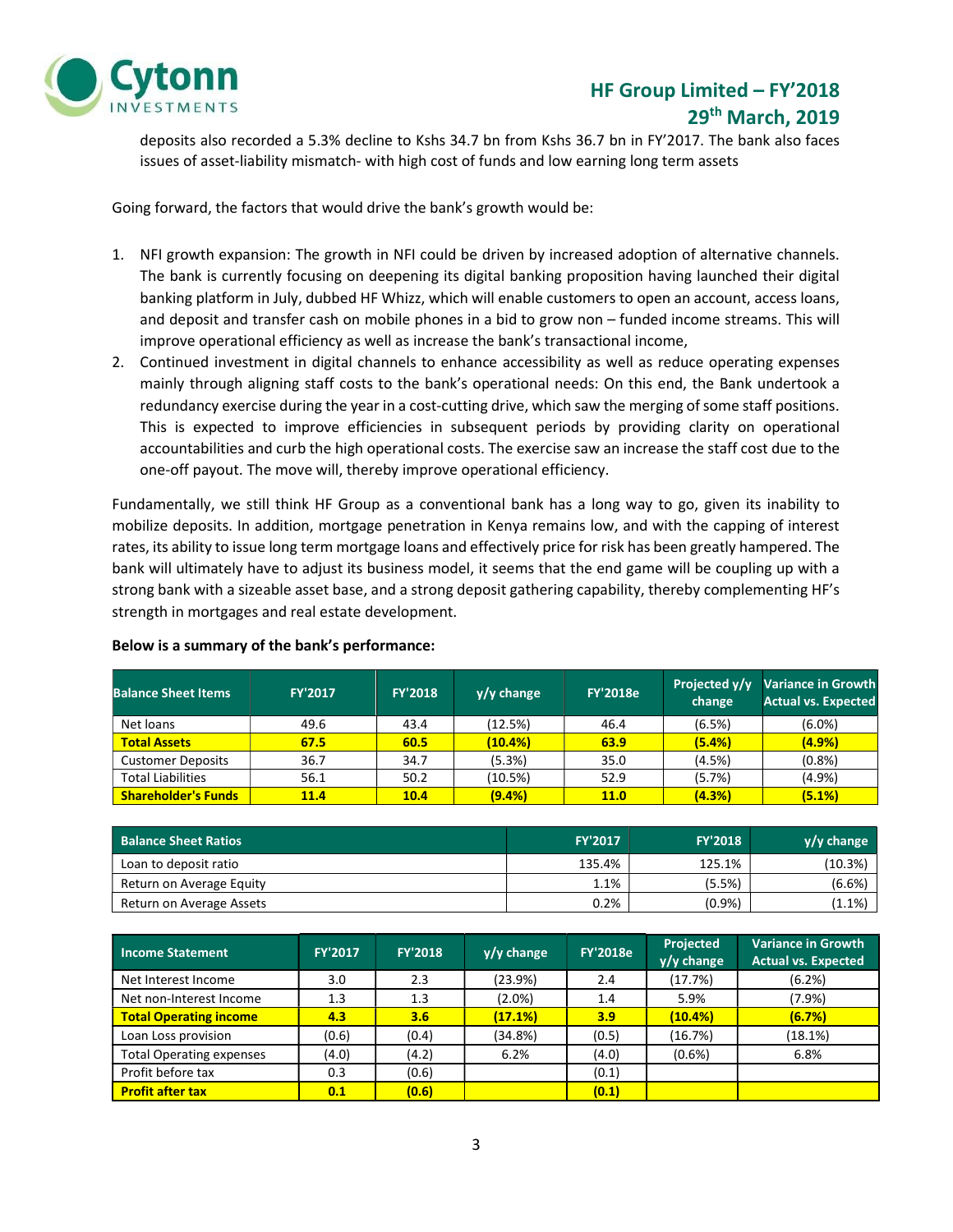

# HF Group Limited – FY'2018 29th March, 2019

deposits also recorded a 5.3% decline to Kshs 34.7 bn from Kshs 36.7 bn in FY'2017. The bank also faces issues of asset-liability mismatch- with high cost of funds and low earning long term assets

Going forward, the factors that would drive the bank's growth would be:

- 1. NFI growth expansion: The growth in NFI could be driven by increased adoption of alternative channels. The bank is currently focusing on deepening its digital banking proposition having launched their digital banking platform in July, dubbed HF Whizz, which will enable customers to open an account, access loans, and deposit and transfer cash on mobile phones in a bid to grow non – funded income streams. This will improve operational efficiency as well as increase the bank's transactional income,
- 2. Continued investment in digital channels to enhance accessibility as well as reduce operating expenses mainly through aligning staff costs to the bank's operational needs: On this end, the Bank undertook a redundancy exercise during the year in a cost-cutting drive, which saw the merging of some staff positions. This is expected to improve efficiencies in subsequent periods by providing clarity on operational accountabilities and curb the high operational costs. The exercise saw an increase the staff cost due to the one-off payout. The move will, thereby improve operational efficiency.

Fundamentally, we still think HF Group as a conventional bank has a long way to go, given its inability to mobilize deposits. In addition, mortgage penetration in Kenya remains low, and with the capping of interest rates, its ability to issue long term mortgage loans and effectively price for risk has been greatly hampered. The bank will ultimately have to adjust its business model, it seems that the end game will be coupling up with a strong bank with a sizeable asset base, and a strong deposit gathering capability, thereby complementing HF's strength in mortgages and real estate development.

| <b>Balance Sheet Items</b> | <b>FY'2017</b> | <b>FY'2018</b> | $y/y$ change | <b>FY'2018e</b> | Projected y/y<br>change | <b>Variance in Growth</b><br><b>Actual vs. Expected</b> |
|----------------------------|----------------|----------------|--------------|-----------------|-------------------------|---------------------------------------------------------|
| Net loans                  | 49.6           | 43.4           | (12.5%)      | 46.4            | (6.5%)                  | $(6.0\%)$                                               |
| <b>Total Assets</b>        | 67.5           | 60.5           | (10.4%)      | 63.9            | (5.4%)                  | (4.9%                                                   |
| <b>Customer Deposits</b>   | 36.7           | 34.7           | (5.3%)       | 35.0            | (4.5%)                  | (0.8%                                                   |
| <b>Total Liabilities</b>   | 56.1           | 50.2           | (10.5%)      | 52.9            | (5.7%)                  | $(4.9\%)$                                               |
| <b>Shareholder's Funds</b> | 11.4           | 10.4           | (9.4%)       | <b>11.0</b>     | (4.3%)                  | (5.1%)                                                  |

#### Below is a summary of the bank's performance:

| <b>Balance Sheet Ratios</b> | <b>FY'2017</b> | <b>FY'2018</b> | $y/y$ change |
|-----------------------------|----------------|----------------|--------------|
| Loan to deposit ratio       | 135.4%         | 125.1%         | (10.3%)      |
| Return on Average Equity    | 1.1%           | (5.5%)         | $(6.6\%)$    |
| Return on Average Assets    | 0.2%           | (0.9%          | (1.1%        |

| <b>Income Statement</b>         | <b>FY'2017</b> | <b>FY'2018</b> | $y/y$ change | <b>FY'2018e</b> | Projected<br>y/y change | <b>Variance in Growth</b><br><b>Actual vs. Expected</b> |
|---------------------------------|----------------|----------------|--------------|-----------------|-------------------------|---------------------------------------------------------|
| Net Interest Income             | 3.0            | 2.3            | (23.9%)      | 2.4             | (17.7%)                 | (6.2%)                                                  |
| Net non-Interest Income         | 1.3            | 1.3            | $(2.0\%)$    | 1.4             | 5.9%                    | (7.9%)                                                  |
| <b>Total Operating income</b>   | 4.3            | 3.6            | (17.1%)      | 3.9             | (10.4%)                 | (6.7%)                                                  |
| Loan Loss provision             | (0.6)          | (0.4)          | (34.8%)      | (0.5)           | (16.7%)                 | (18.1%)                                                 |
| <b>Total Operating expenses</b> | (4.0)          | (4.2)          | 6.2%         | (4.0)           | $(0.6\%)$               | 6.8%                                                    |
| Profit before tax               | 0.3            | (0.6)          |              | (0.1)           |                         |                                                         |
| <b>Profit after tax</b>         | 0.1            | (0.6)          |              | (0.1)           |                         |                                                         |